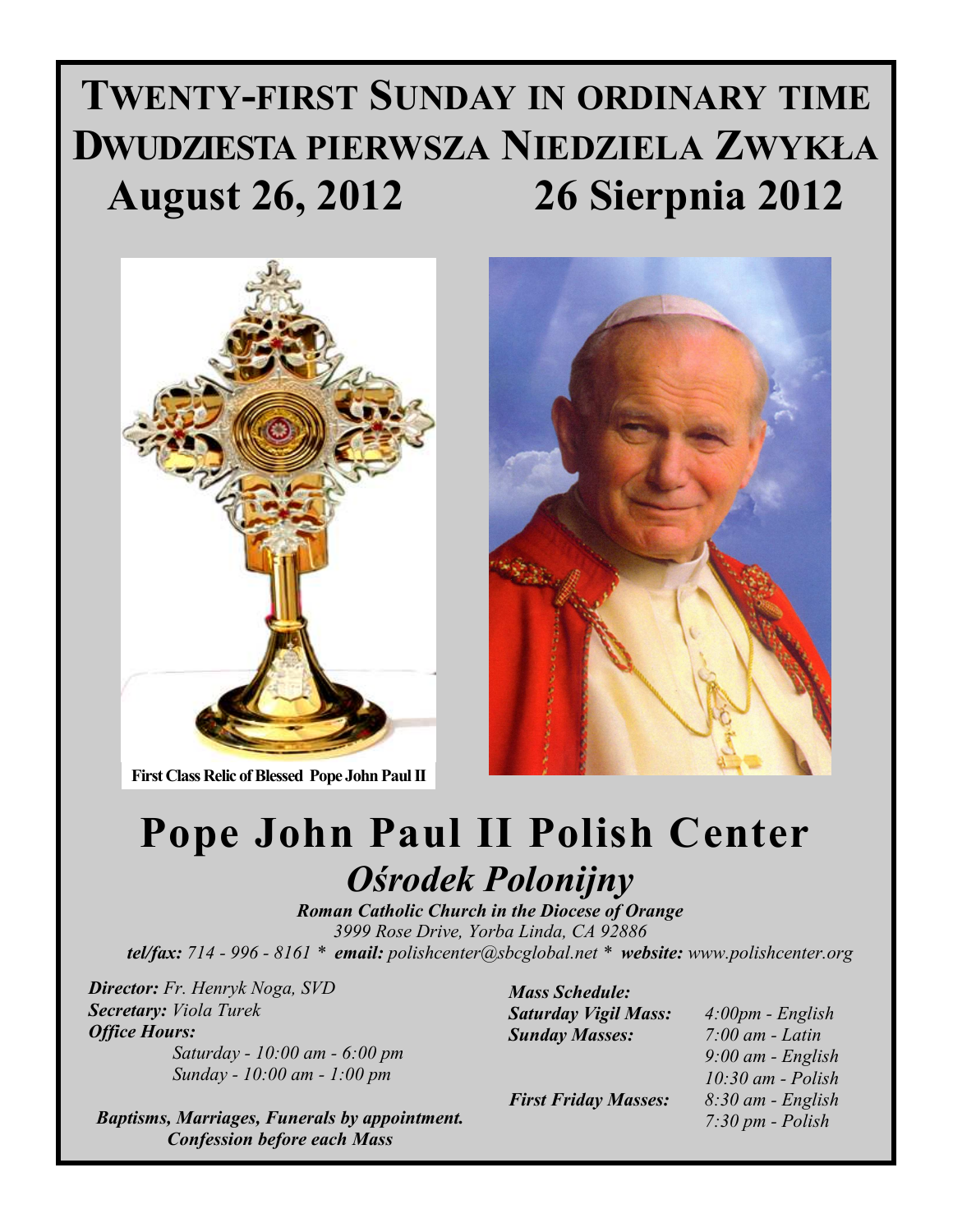# **TWENTY-FIRST SUNDAY IN ORDINARY TIME DWUDZIESTA PIERWSZA NIEDZIELA ZWYKŁA August 26, 2012 26 Sierpnia 2012**



**First Class Relic of Blessed Pope John Paul II** 



# **Pope John Paul II Polish Center**  *Ośrodek Polonijny*

*Roman Catholic Church in the Diocese of Orange 3999 Rose Drive, Yorba Linda, CA 92886 tel/fax: 714 - 996 - 8161 \* email: polishcenter@sbcglobal.net \* website: www.polishcenter.org*

*Director: Fr. Henryk Noga, SVD Secretary: Viola Turek Office Hours:* 

 *Saturday - 10:00 am - 6:00 pm Sunday - 10:00 am - 1:00 pm* 

*Baptisms, Marriages, Funerals by appointment. Confession before each Mass* 

*Mass Schedule: Saturday Vigil Mass: 4:00pm - English Sunday Masses: 7:00 am - Latin* 

*First Friday Masses: 8:30 am - English* 

 *9:00 am - English 10:30 am - Polish 7:30 pm - Polish*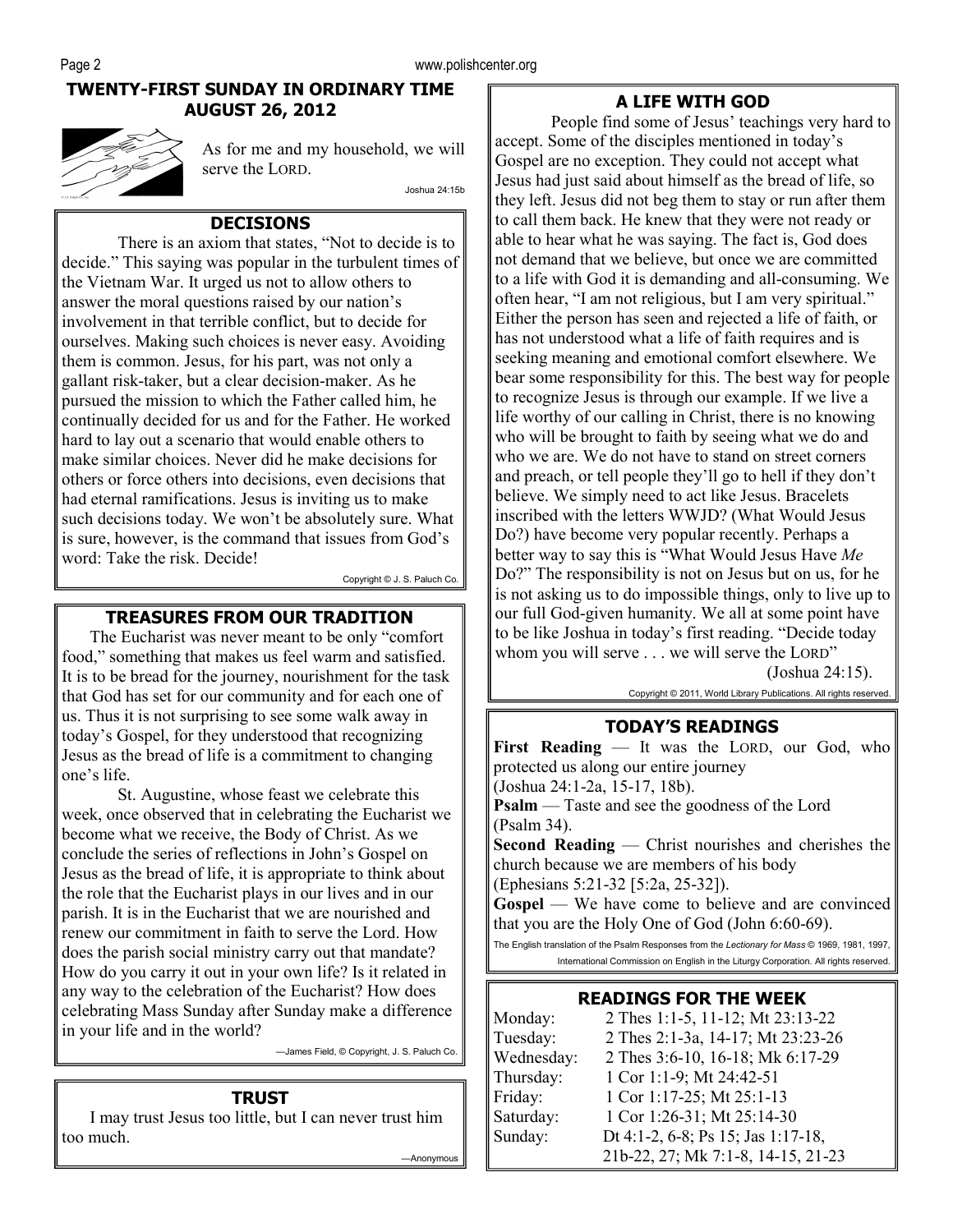# **TWENTY-FIRST SUNDAY IN ORDINARY TIME AUGUST 26, 2012**



As for me and my household, we will serve the LORD.

Joshua 24:15b

#### **DECISIONS**

 There is an axiom that states, "Not to decide is to decide." This saying was popular in the turbulent times of the Vietnam War. It urged us not to allow others to answer the moral questions raised by our nation's involvement in that terrible conflict, but to decide for ourselves. Making such choices is never easy. Avoiding them is common. Jesus, for his part, was not only a gallant risk-taker, but a clear decision-maker. As he pursued the mission to which the Father called him, he continually decided for us and for the Father. He worked hard to lay out a scenario that would enable others to make similar choices. Never did he make decisions for others or force others into decisions, even decisions that had eternal ramifications. Jesus is inviting us to make such decisions today. We won't be absolutely sure. What is sure, however, is the command that issues from God's word: Take the risk. Decide!

Copyright © J. S. Paluch Co.

#### **TREASURES FROM OUR TRADITION**

The Eucharist was never meant to be only "comfort food," something that makes us feel warm and satisfied. It is to be bread for the journey, nourishment for the task that God has set for our community and for each one of us. Thus it is not surprising to see some walk away in today's Gospel, for they understood that recognizing Jesus as the bread of life is a commitment to changing one's life.

 St. Augustine, whose feast we celebrate this week, once observed that in celebrating the Eucharist we become what we receive, the Body of Christ. As we conclude the series of reflections in John's Gospel on Jesus as the bread of life, it is appropriate to think about the role that the Eucharist plays in our lives and in our parish. It is in the Eucharist that we are nourished and renew our commitment in faith to serve the Lord. How does the parish social ministry carry out that mandate? How do you carry it out in your own life? Is it related in any way to the celebration of the Eucharist? How does celebrating Mass Sunday after Sunday make a difference in your life and in the world?

—James Field, © Copyright, J. S. Paluch Co.

#### **TRUST**

I may trust Jesus too little, but I can never trust him too much.

—Anonymous

#### **A LIFE WITH GOD**

 People find some of Jesus' teachings very hard to accept. Some of the disciples mentioned in today's Gospel are no exception. They could not accept what Jesus had just said about himself as the bread of life, so they left. Jesus did not beg them to stay or run after them to call them back. He knew that they were not ready or able to hear what he was saying. The fact is, God does not demand that we believe, but once we are committed to a life with God it is demanding and all-consuming. We often hear, "I am not religious, but I am very spiritual." Either the person has seen and rejected a life of faith, or has not understood what a life of faith requires and is seeking meaning and emotional comfort elsewhere. We bear some responsibility for this. The best way for people to recognize Jesus is through our example. If we live a life worthy of our calling in Christ, there is no knowing who will be brought to faith by seeing what we do and who we are. We do not have to stand on street corners and preach, or tell people they'll go to hell if they don't believe. We simply need to act like Jesus. Bracelets inscribed with the letters WWJD? (What Would Jesus Do?) have become very popular recently. Perhaps a better way to say this is "What Would Jesus Have *Me*  Do?" The responsibility is not on Jesus but on us, for he is not asking us to do impossible things, only to live up to our full God-given humanity. We all at some point have to be like Joshua in today's first reading. "Decide today whom you will serve . . . we will serve the LORD"

> (Joshua 24:15). Copyright © 2011, World Library Publications. All rights reserved.

#### **TODAY'S READINGS**

First Reading — It was the LORD, our God, who protected us along our entire journey (Joshua 24:1-2a, 15-17, 18b).

**Psalm** — Taste and see the goodness of the Lord (Psalm 34).

**Second Reading** — Christ nourishes and cherishes the church because we are members of his body (Ephesians 5:21-32 [5:2a, 25-32]).

**Gospel** — We have come to believe and are convinced that you are the Holy One of God (John 6:60-69).

The English translation of the Psalm Responses from the *Lectionary for Mass* © 1969, 1981, 1997, International Commission on English in the Liturgy Corporation. All rights reserved.

# **READINGS FOR THE WEEK**

| Monday:    | 2 Thes 1:1-5, 11-12; Mt 23:13-22   |
|------------|------------------------------------|
| Tuesday:   | 2 Thes 2:1-3a, 14-17; Mt 23:23-26  |
| Wednesday: | 2 Thes 3:6-10, 16-18; Mk 6:17-29   |
| Thursday:  | 1 Cor 1:1-9; Mt 24:42-51           |
| Friday:    | 1 Cor 1:17-25; Mt 25:1-13          |
| Saturday:  | 1 Cor 1:26-31; Mt 25:14-30         |
| Sunday:    | Dt 4:1-2, 6-8; Ps 15; Jas 1:17-18, |
|            | 21b-22, 27; Mk 7:1-8, 14-15, 21-23 |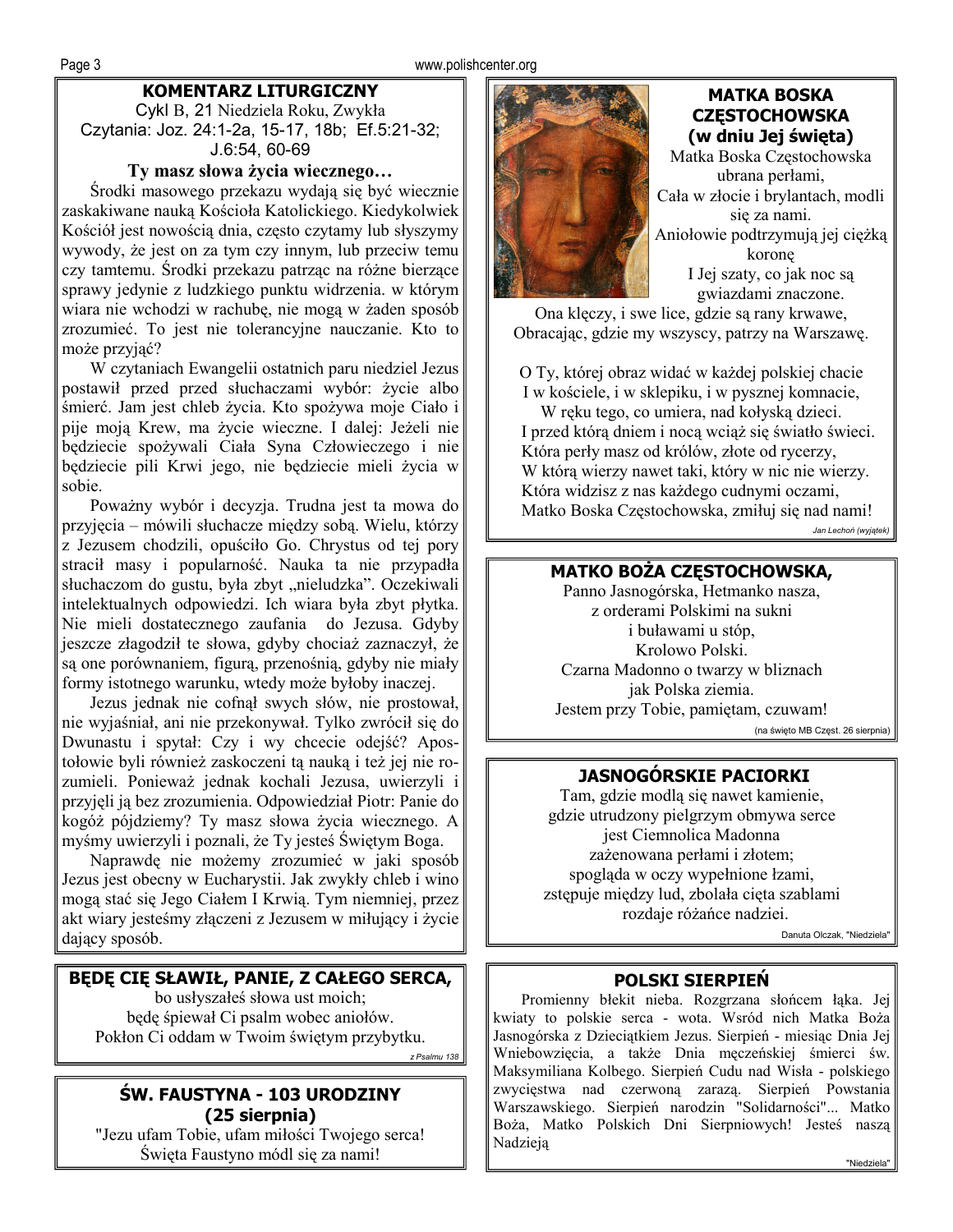#### **KOMENTARZ LITURGICZNY**

Cykl B, 21 Niedziela Roku, Zwykła Czytania: Joz. 24:1-2a, 15-17, 18b; Ef.5:21-32; J.6:54, 60-69

#### **Ty masz słowa życia wiecznego…**

Środki masowego przekazu wydają się być wiecznie zaskakiwane nauką Kościoła Katolickiego. Kiedykolwiek Kościół jest nowością dnia, często czytamy lub słyszymy wywody, że jest on za tym czy innym, lub przeciw temu czy tamtemu. Środki przekazu patrząc na różne bierzące sprawy jedynie z ludzkiego punktu widrzenia. w którym wiara nie wchodzi w rachubę, nie mogą w żaden sposób zrozumieć. To jest nie tolerancyjne nauczanie. Kto to może przyjąć?

W czytaniach Ewangelii ostatnich paru niedziel Jezus postawił przed przed słuchaczami wybór: życie albo śmierć. Jam jest chleb życia. Kto spożywa moje Ciało i pije moją Krew, ma życie wieczne. I dalej: Jeżeli nie będziecie spożywali Ciała Syna Człowieczego i nie będziecie pili Krwi jego, nie będziecie mieli życia w sobie.

Poważny wybór i decyzja. Trudna jest ta mowa do przyjęcia – mówili słuchacze między sobą. Wielu, którzy z Jezusem chodzili, opuściło Go. Chrystus od tej pory stracił masy i popularność. Nauka ta nie przypadła słuchaczom do gustu, była zbyt "nieludzka". Oczekiwali intelektualnych odpowiedzi. Ich wiara była zbyt płytka. Nie mieli dostatecznego zaufania do Jezusa. Gdyby jeszcze złagodził te słowa, gdyby chociaż zaznaczył, że są one porównaniem, figurą, przenośnią, gdyby nie miały formy istotnego warunku, wtedy może byłoby inaczej.

Jezus jednak nie cofnął swych słów, nie prostował, nie wyjaśniał, ani nie przekonywał. Tylko zwrócił się do Dwunastu i spytał: Czy i wy chcecie odejść? Apostołowie byli również zaskoczeni tą nauką i też jej nie rozumieli. Ponieważ jednak kochali Jezusa, uwierzyli i przyjęli ją bez zrozumienia. Odpowiedział Piotr: Panie do kogóż pójdziemy? Ty masz słowa życia wiecznego. A myśmy uwierzyli i poznali, że Ty jesteś Świętym Boga.

Naprawdę nie możemy zrozumieć w jaki sposób Jezus jest obecny w Eucharystii. Jak zwykły chleb i wino mogą stać się Jego Ciałem I Krwią. Tym niemniej, przez akt wiary jesteśmy złączeni z Jezusem w miłujący i życie dający sposób.

# **BĘDĘ CIĘ SŁAWIŁ, PANIE, Z CAŁEGO SERCA,**

bo usłyszałeś słowa ust moich; będę śpiewał Ci psalm wobec aniołów. Pokłon Ci oddam w Twoim świętym przybytku.

*z Psalmu 138* 

#### **ŚW. FAUSTYNA - 103 URODZINY (25 sierpnia)**

"Jezu ufam Tobie, ufam miłości Twojego serca! Święta Faustyno módl się za nami!



#### **MATKA BOSKA CZĘSTOCHOWSKA (w dniu Jej święta)**

Matka Boska Częstochowska ubrana perłami, Cała w złocie i brylantach, modli się za nami. Aniołowie podtrzymują jej ciężką koronę I Jej szaty, co jak noc są gwiazdami znaczone.

Ona klęczy, i swe lice, gdzie są rany krwawe, Obracając, gdzie my wszyscy, patrzy na Warszawę.

O Ty, której obraz widać w każdej polskiej chacie I w kościele, i w sklepiku, i w pysznej komnacie,

W ręku tego, co umiera, nad kołyską dzieci. I przed którą dniem i nocą wciąż się światło świeci. Która perły masz od królów, złote od rycerzy, W którą wierzy nawet taki, który w nic nie wierzy. Która widzisz z nas każdego cudnymi oczami, Matko Boska Częstochowska, zmiłuj się nad nami!

*Jan Lechoń (wyjątek)*

#### **MATKO BOŻA CZĘSTOCHOWSKA,**

Panno Jasnogórska, Hetmanko nasza, z orderami Polskimi na sukni i buławami u stóp, Krolowo Polski. Czarna Madonno o twarzy w bliznach jak Polska ziemia. Jestem przy Tobie, pamiętam, czuwam!

(na święto MB Częst. 26 sierpnia)

#### **JASNOGÓRSKIE PACIORKI**

Tam, gdzie modlą się nawet kamienie, gdzie utrudzony pielgrzym obmywa serce jest Ciemnolica Madonna zażenowana perłami i złotem; spogląda w oczy wypełnione łzami, zstępuje między lud, zbolała cięta szablami rozdaje różańce nadziei.

Danuta Olczak, "Niedziela"

#### **POLSKI SIERPIEŃ**

Promienny błekit nieba. Rozgrzana słońcem łąka. Jej kwiaty to polskie serca - wota. Wsród nich Matka Boża Jasnogórska z Dzieciątkiem Jezus. Sierpień - miesiąc Dnia Jej Wniebowzięcia, a także Dnia męczeńskiej śmierci św. Maksymiliana Kolbego. Sierpień Cudu nad Wisła - polskiego zwycięstwa nad czerwoną zarazą. Sierpień Powstania Warszawskiego. Sierpień narodzin "Solidarności"... Matko Boża, Matko Polskich Dni Sierpniowych! Jesteś naszą Nadzieją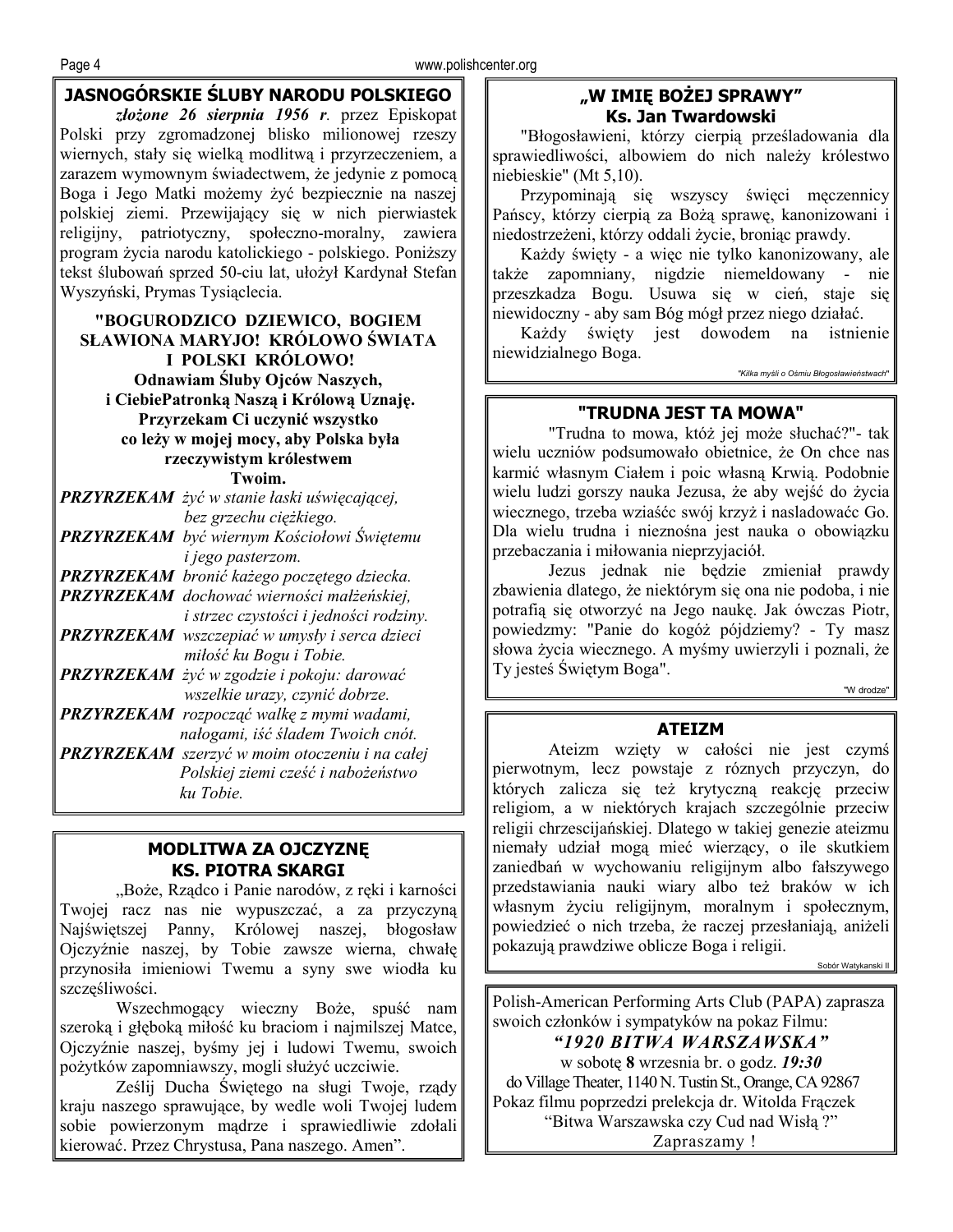#### **JASNOGÓRSKIE ŚLUBY NARODU POLSKIEGO**

*złożone 26 sierpnia 1956 r.* przez Episkopat Polski przy zgromadzonej blisko milionowej rzeszy wiernych, stały się wielką modlitwą i przyrzeczeniem, a zarazem wymownym świadectwem, że jedynie z pomocą Boga i Jego Matki możemy żyć bezpiecznie na naszej polskiej ziemi. Przewijający się w nich pierwiastek religijny, patriotyczny, społeczno-moralny, zawiera program życia narodu katolickiego - polskiego. Poniższy tekst ślubowań sprzed 50-ciu lat, ułożył Kardynał Stefan Wyszyński, Prymas Tysiąclecia.

#### **"BOGURODZICO DZIEWICO, BOGIEM SŁAWIONA MARYJO! KRÓLOWO ŚWIATA I POLSKI KRÓLOWO! Odnawiam Śluby Ojców Naszych, i CiebiePatronką Naszą i Królową Uznaję. Przyrzekam Ci uczynić wszystko co leży w mojej mocy, aby Polska była rzeczywistym królestwem**

**Twoim.** 

*PRZYRZEKAM żyć w stanie łaski uświęcającej, bez grzechu ciężkiego.*

*PRZYRZEKAM być wiernym Kościołowi Świętemu i jego pasterzom.*

*PRZYRZEKAM bronić każego poczętego dziecka.* 

*PRZYRZEKAM dochować wierności małżeńskiej, i strzec czystości i jedności rodziny.*

*PRZYRZEKAM wszczepiać w umysły i serca dzieci miłość ku Bogu i Tobie.* 

*PRZYRZEKAM żyć w zgodzie i pokoju: darować wszelkie urazy, czynić dobrze.* 

*PRZYRZEKAM rozpocząć walkę z mymi wadami, nałogami, iść śladem Twoich cnót.* 

*PRZYRZEKAM szerzyć w moim otoczeniu i na całej Polskiej ziemi cześć i nabożeństwo ku Tobie.* 

#### **MODLITWA ZA OJCZYZNĘ KS. PIOTRA SKARGI**

"Boże, Rządco i Panie narodów, z ręki i karności Twojej racz nas nie wypuszczać, a za przyczyną Najświętszej Panny, Królowej naszej, błogosław Ojczyźnie naszej, by Tobie zawsze wierna, chwałę przynosiła imieniowi Twemu a syny swe wiodła ku szczęśliwości.

 Wszechmogący wieczny Boże, spuść nam szeroką i głęboką miłość ku braciom i najmilszej Matce, Ojczyźnie naszej, byśmy jej i ludowi Twemu, swoich pożytków zapomniawszy, mogli służyć uczciwie.

 Ześlij Ducha Świętego na sługi Twoje, rządy kraju naszego sprawujące, by wedle woli Twojej ludem sobie powierzonym mądrze i sprawiedliwie zdołali kierować. Przez Chrystusa, Pana naszego. Amen".

#### **"W IMIĘ BOŻEJ SPRAWY" Ks. Jan Twardowski**

"Błogosławieni, którzy cierpią prześladowania dla sprawiedliwości, albowiem do nich należy królestwo niebieskie" (Mt 5,10).

Przypominają się wszyscy święci męczennicy Pańscy, którzy cierpią za Bożą sprawę, kanonizowani i niedostrzeżeni, którzy oddali życie, broniąc prawdy.

Każdy święty - a więc nie tylko kanonizowany, ale także zapomniany, nigdzie niemeldowany - nie przeszkadza Bogu. Usuwa się w cień, staje się niewidoczny - aby sam Bóg mógł przez niego działać.

Każdy święty jest dowodem na istnienie niewidzialnego Boga.

*"Kilka myśli o Ośmiu Błogosławieństwach*"

#### **"TRUDNA JEST TA MOWA"**

 "Trudna to mowa, któż jej może słuchać?"- tak wielu uczniów podsumowało obietnice, że On chce nas karmić własnym Ciałem i poic własną Krwią. Podobnie wielu ludzi gorszy nauka Jezusa, że aby wejść do życia wiecznego, trzeba wziaśćc swój krzyż i nasladowaćc Go. Dla wielu trudna i nieznośna jest nauka o obowiązku przebaczania i miłowania nieprzyjaciół.

 Jezus jednak nie będzie zmieniał prawdy zbawienia dlatego, że niektórym się ona nie podoba, i nie potrafią się otworzyć na Jego naukę. Jak ówczas Piotr, powiedzmy: "Panie do kogóż pójdziemy? - Ty masz słowa życia wiecznego. A myśmy uwierzyli i poznali, że Ty jesteś Świętym Boga".

"W drodze"

#### **ATEIZM**

Ateizm wzięty w całości nie jest czymś pierwotnym, lecz powstaje z róznych przyczyn, do których zalicza się też krytyczną reakcję przeciw religiom, a w niektórych krajach szczególnie przeciw religii chrzescijańskiej. Dlatego w takiej genezie ateizmu niemały udział mogą mieć wierzący, o ile skutkiem zaniedbań w wychowaniu religijnym albo fałszywego przedstawiania nauki wiary albo też braków w ich własnym życiu religijnym, moralnym i społecznym, powiedzieć o nich trzeba, że raczej przesłaniają, aniżeli pokazują prawdziwe oblicze Boga i religii.

Sobór Watykanski

Polish-American Performing Arts Club (PAPA) zaprasza swoich członków i sympatyków na pokaz Filmu:

*"1920 BITWA WARSZAWSKA"* 

w sobotę **8** wrzesnia br. o godz. *19:30* do Village Theater, 1140 N. Tustin St., Orange, CA 92867 Pokaz filmu poprzedzi prelekcja dr. Witolda Frączek "Bitwa Warszawska czy Cud nad Wisłą ?" Zapraszamy !